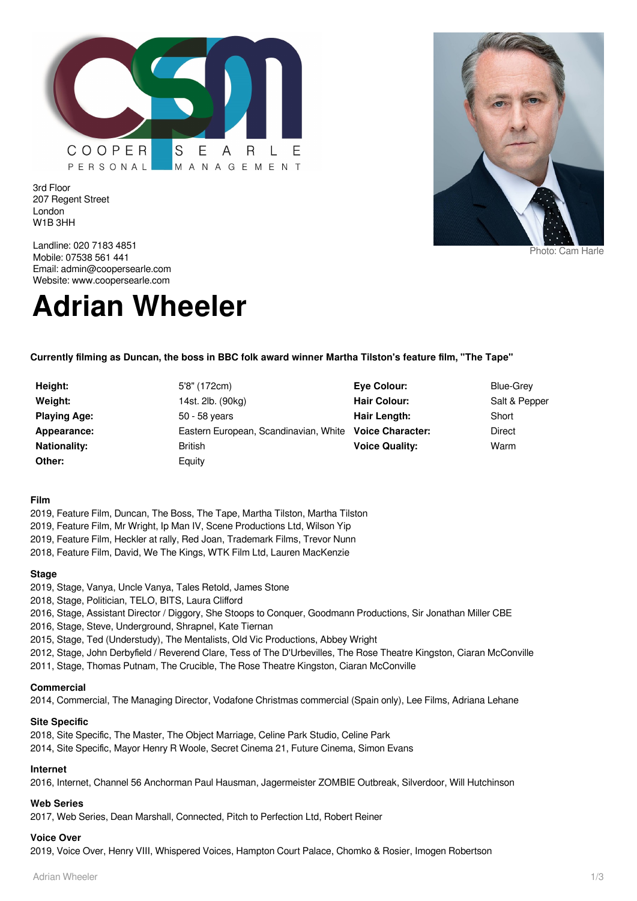

Landline: 020 7183 4851 Mobile: 07538 561 441 Email: admin@coopersearle.com Website: www.coopersearle.com

3rd Floor

London W1B 3HH

207 Regent Street

# **Adrian Wheeler**

**Currently filming as Duncan, the boss in BBC folk award winner Martha Tilston's feature film, "The Tape"**

**Height:** 5'8" (172cm) **Weight:** 14st. 2lb. (90kg) **Playing Age:** 50 - 58 years **Nationality:** British **Other:** Equity

**Appearance:** Eastern European, Scandinavian, White **Voice Character:** Direct

**Eye Colour:** Blue-Grey **Hair Colour:** Salt & Pepper **Hair Length:** Short **Voice Quality:** Warm

**Film**

- 2019, Feature Film, Duncan, The Boss, The Tape, Martha Tilston, Martha Tilston
- 2019, Feature Film, Mr Wright, Ip Man IV, Scene Productions Ltd, Wilson Yip
- 2019, Feature Film, Heckler at rally, Red Joan, Trademark Films, Trevor Nunn
- 2018, Feature Film, David, We The Kings, WTK Film Ltd, Lauren MacKenzie

#### **Stage**

- 2019, Stage, Vanya, Uncle Vanya, Tales Retold, James Stone
- 2018, Stage, Politician, TELO, BITS, Laura Clifford
- 2016, Stage, Assistant Director / Diggory, She Stoops to Conquer, Goodmann Productions, Sir Jonathan Miller CBE
- 2016, Stage, Steve, Underground, Shrapnel, Kate Tiernan
- 2015, Stage, Ted (Understudy), The Mentalists, Old Vic Productions, Abbey Wright
- 2012, Stage, John Derbyfield / Reverend Clare, Tess of The D'Urbevilles, The Rose Theatre Kingston, Ciaran McConville
- 2011, Stage, Thomas Putnam, The Crucible, The Rose Theatre Kingston, Ciaran McConville

#### **Commercial**

2014, Commercial, The Managing Director, Vodafone Christmas commercial (Spain only), Lee Films, Adriana Lehane

# **Site Specific**

2018, Site Specific, The Master, The Object Marriage, Celine Park Studio, Celine Park

2014, Site Specific, Mayor Henry R Woole, Secret Cinema 21, Future Cinema, Simon Evans

# **Internet**

2016, Internet, Channel 56 Anchorman Paul Hausman, Jagermeister ZOMBIE Outbreak, Silverdoor, Will Hutchinson

# **Web Series**

2017, Web Series, Dean Marshall, Connected, Pitch to Perfection Ltd, Robert Reiner

# **Voice Over**

2019, Voice Over, Henry VIII, Whispered Voices, Hampton Court Palace, Chomko & Rosier, Imogen Robertson

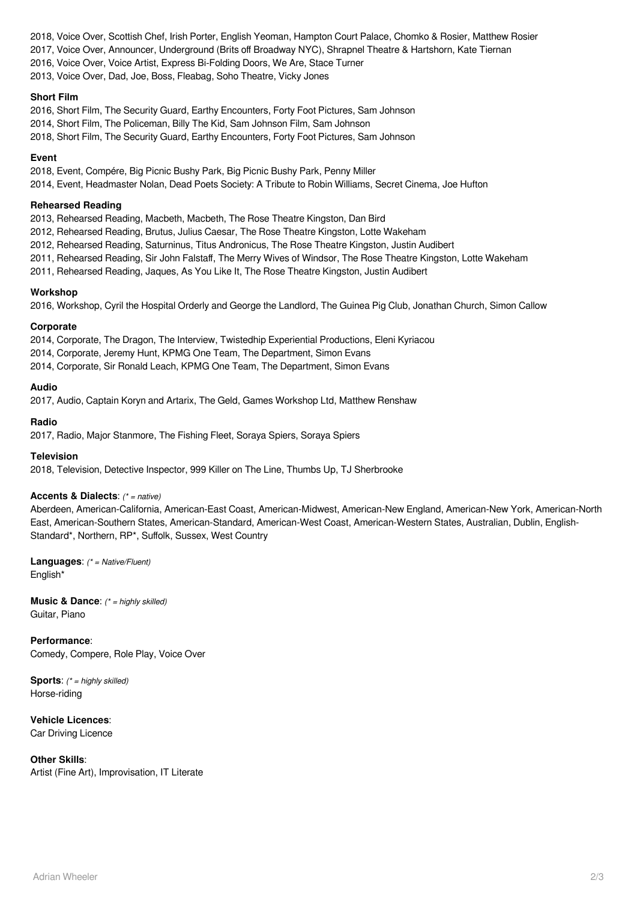2018, Voice Over, Scottish Chef, Irish Porter, English Yeoman, Hampton Court Palace, Chomko & Rosier, Matthew Rosier 2017, Voice Over, Announcer, Underground (Brits off Broadway NYC), Shrapnel Theatre & Hartshorn, Kate Tiernan 2016, Voice Over, Voice Artist, Express Bi-Folding Doors, We Are, Stace Turner 2013, Voice Over, Dad, Joe, Boss, Fleabag, Soho Theatre, Vicky Jones

**Short Film**

2016, Short Film, The Security Guard, Earthy Encounters, Forty Foot Pictures, Sam Johnson

2014, Short Film, The Policeman, Billy The Kid, Sam Johnson Film, Sam Johnson

2018, Short Film, The Security Guard, Earthy Encounters, Forty Foot Pictures, Sam Johnson

#### **Event**

2018, Event, Compére, Big Picnic Bushy Park, Big Picnic Bushy Park, Penny Miller

2014, Event, Headmaster Nolan, Dead Poets Society: A Tribute to Robin Williams, Secret Cinema, Joe Hufton

## **Rehearsed Reading**

2013, Rehearsed Reading, Macbeth, Macbeth, The Rose Theatre Kingston, Dan Bird

2012, Rehearsed Reading, Brutus, Julius Caesar, The Rose Theatre Kingston, Lotte Wakeham

2012, Rehearsed Reading, Saturninus, Titus Andronicus, The Rose Theatre Kingston, Justin Audibert

2011, Rehearsed Reading, Sir John Falstaff, The Merry Wives of Windsor, The Rose Theatre Kingston, Lotte Wakeham

2011, Rehearsed Reading, Jaques, As You Like It, The Rose Theatre Kingston, Justin Audibert

## **Workshop**

2016, Workshop, Cyril the Hospital Orderly and George the Landlord, The Guinea Pig Club, Jonathan Church, Simon Callow

## **Corporate**

2014, Corporate, The Dragon, The Interview, Twistedhip Experiential Productions, Eleni Kyriacou

2014, Corporate, Jeremy Hunt, KPMG One Team, The Department, Simon Evans

2014, Corporate, Sir Ronald Leach, KPMG One Team, The Department, Simon Evans

## **Audio**

2017, Audio, Captain Koryn and Artarix, The Geld, Games Workshop Ltd, Matthew Renshaw

#### **Radio**

2017, Radio, Major Stanmore, The Fishing Fleet, Soraya Spiers, Soraya Spiers

#### **Television**

2018, Television, Detective Inspector, 999 Killer on The Line, Thumbs Up, TJ Sherbrooke

## **Accents & Dialects**: (\* = native)

Aberdeen, American-California, American-East Coast, American-Midwest, American-New England, American-New York, American-North East, American-Southern States, American-Standard, American-West Coast, American-Western States, Australian, Dublin, English-Standard\*, Northern, RP\*, Suffolk, Sussex, West Country

**Languages**: (\* = Native/Fluent) English\*

**Music & Dance:** (\* = highly skilled) Guitar, Piano

**Performance**: Comedy, Compere, Role Play, Voice Over

**Sports:** (\* = highly skilled) Horse-riding

**Vehicle Licences**: Car Driving Licence

**Other Skills**: Artist (Fine Art), Improvisation, IT Literate